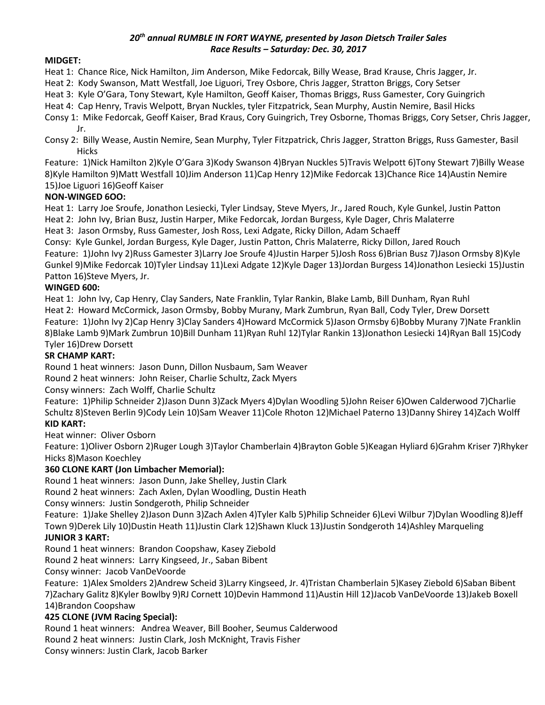#### *20th annual RUMBLE IN FORT WAYNE, presented by Jason Dietsch Trailer Sales Race Results – Saturday: Dec. 30, 2017*

## **MIDGET:**

Heat 1: Chance Rice, Nick Hamilton, Jim Anderson, Mike Fedorcak, Billy Wease, Brad Krause, Chris Jagger, Jr.

Heat 2: Kody Swanson, Matt Westfall, Joe Liguori, Trey Osbore, Chris Jagger, Stratton Briggs, Cory Setser

Heat 3: Kyle O'Gara, Tony Stewart, Kyle Hamilton, Geoff Kaiser, Thomas Briggs, Russ Gamester, Cory Guingrich

Heat 4: Cap Henry, Travis Welpott, Bryan Nuckles, tyler Fitzpatrick, Sean Murphy, Austin Nemire, Basil Hicks

Consy 1: Mike Fedorcak, Geoff Kaiser, Brad Kraus, Cory Guingrich, Trey Osborne, Thomas Briggs, Cory Setser, Chris Jagger, Jr.

Consy 2: Billy Wease, Austin Nemire, Sean Murphy, Tyler Fitzpatrick, Chris Jagger, Stratton Briggs, Russ Gamester, Basil **Hicks** 

Feature: 1)Nick Hamilton 2)Kyle O'Gara 3)Kody Swanson 4)Bryan Nuckles 5)Travis Welpott 6)Tony Stewart 7)Billy Wease 8)Kyle Hamilton 9)Matt Westfall 10)Jim Anderson 11)Cap Henry 12)Mike Fedorcak 13)Chance Rice 14)Austin Nemire 15)Joe Liguori 16)Geoff Kaiser

# **NON-WINGED 6OO:**

Heat 1: Larry Joe Sroufe, Jonathon Lesiecki, Tyler Lindsay, Steve Myers, Jr., Jared Rouch, Kyle Gunkel, Justin Patton

Heat 2: John Ivy, Brian Busz, Justin Harper, Mike Fedorcak, Jordan Burgess, Kyle Dager, Chris Malaterre Heat 3: Jason Ormsby, Russ Gamester, Josh Ross, Lexi Adgate, Ricky Dillon, Adam Schaeff

Consy: Kyle Gunkel, Jordan Burgess, Kyle Dager, Justin Patton, Chris Malaterre, Ricky Dillon, Jared Rouch

Feature: 1)John Ivy 2)Russ Gamester 3)Larry Joe Sroufe 4)Justin Harper 5)Josh Ross 6)Brian Busz 7)Jason Ormsby 8)Kyle Gunkel 9)Mike Fedorcak 10)Tyler Lindsay 11)Lexi Adgate 12)Kyle Dager 13)Jordan Burgess 14)Jonathon Lesiecki 15)Justin Patton 16)Steve Myers, Jr.

# **WINGED 600:**

Heat 1: John Ivy, Cap Henry, Clay Sanders, Nate Franklin, Tylar Rankin, Blake Lamb, Bill Dunham, Ryan Ruhl Heat 2: Howard McCormick, Jason Ormsby, Bobby Murany, Mark Zumbrun, Ryan Ball, Cody Tyler, Drew Dorsett Feature: 1)John Ivy 2)Cap Henry 3)Clay Sanders 4)Howard McCormick 5)Jason Ormsby 6)Bobby Murany 7)Nate Franklin 8)Blake Lamb 9)Mark Zumbrun 10)Bill Dunham 11)Ryan Ruhl 12)Tylar Rankin 13)Jonathon Lesiecki 14)Ryan Ball 15)Cody Tyler 16)Drew Dorsett

## **SR CHAMP KART:**

Round 1 heat winners: Jason Dunn, Dillon Nusbaum, Sam Weaver

Round 2 heat winners: John Reiser, Charlie Schultz, Zack Myers

Consy winners: Zach Wolff, Charlie Schultz

Feature: 1)Philip Schneider 2)Jason Dunn 3)Zack Myers 4)Dylan Woodling 5)John Reiser 6)Owen Calderwood 7)Charlie Schultz 8)Steven Berlin 9)Cody Lein 10)Sam Weaver 11)Cole Rhoton 12)Michael Paterno 13)Danny Shirey 14)Zach Wolff **KID KART:**

### Heat winner: Oliver Osborn

Feature: 1)Oliver Osborn 2)Ruger Lough 3)Taylor Chamberlain 4)Brayton Goble 5)Keagan Hyliard 6)Grahm Kriser 7)Rhyker Hicks 8)Mason Koechley

# **360 CLONE KART (Jon Limbacher Memorial):**

Round 1 heat winners: Jason Dunn, Jake Shelley, Justin Clark

Round 2 heat winners: Zach Axlen, Dylan Woodling, Dustin Heath

Consy winners: Justin Sondgeroth, Philip Schneider

Feature: 1)Jake Shelley 2)Jason Dunn 3)Zach Axlen 4)Tyler Kalb 5)Philip Schneider 6)Levi Wilbur 7)Dylan Woodling 8)Jeff Town 9)Derek Lily 10)Dustin Heath 11)Justin Clark 12)Shawn Kluck 13)Justin Sondgeroth 14)Ashley Marqueling

### **JUNIOR 3 KART:**

Round 1 heat winners: Brandon Coopshaw, Kasey Ziebold

Round 2 heat winners: Larry Kingseed, Jr., Saban Bibent

Consy winner: Jacob VanDeVoorde

Feature: 1)Alex Smolders 2)Andrew Scheid 3)Larry Kingseed, Jr. 4)Tristan Chamberlain 5)Kasey Ziebold 6)Saban Bibent 7)Zachary Galitz 8)Kyler Bowlby 9)RJ Cornett 10)Devin Hammond 11)Austin Hill 12)Jacob VanDeVoorde 13)Jakeb Boxell 14)Brandon Coopshaw

### **425 CLONE (JVM Racing Special):**

Round 1 heat winners: Andrea Weaver, Bill Booher, Seumus Calderwood

Round 2 heat winners: Justin Clark, Josh McKnight, Travis Fisher

Consy winners: Justin Clark, Jacob Barker